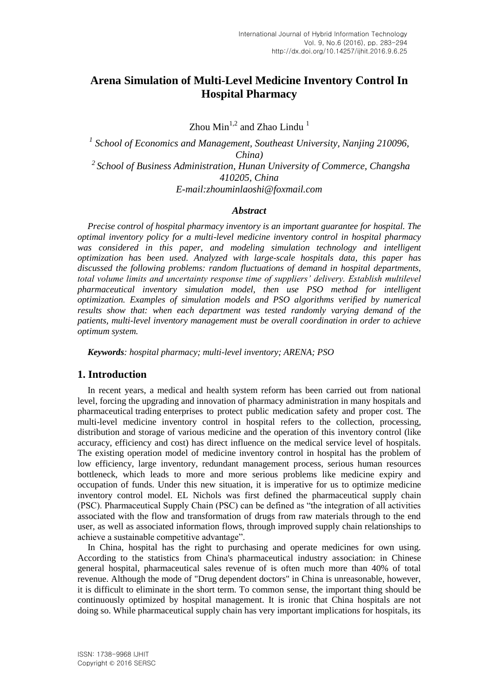# **Arena Simulation of Multi-Level Medicine Inventory Control In Hospital Pharmacy**

Zhou  $Min^{1,2}$  and Zhao Lindu<sup>1</sup>

<sup>1</sup> School of Economics and Management, Southeast University, Nanjing 210096, *China) <sup>2</sup>School of Business Administration, Hunan University of Commerce, Changsha 410205, China E-mail:zhouminlaoshi@foxmail.com*

### *Abstract*

*Precise control of hospital pharmacy inventory is an important guarantee for hospital. The optimal inventory policy for a multi-level medicine inventory control in hospital pharmacy*  was considered in this paper, and modeling simulation technology and intelligent *optimization has been used. Analyzed with large-scale hospitals data, this paper has discussed the following problems: random fluctuations of demand in hospital departments, total volume limits and uncertainty response time of suppliers' delivery. Establish multilevel pharmaceutical inventory simulation model, then use PSO method for intelligent optimization. Examples of simulation models and PSO algorithms verified by numerical results show that: when each department was tested randomly varying demand of the patients, multi-level inventory management must be overall coordination in order to achieve optimum system.*

*Keywords: hospital pharmacy; multi-level inventory; ARENA; PSO*

## **1. Introduction**

In recent years, a medical and health system reform has been carried out from national level, forcing the upgrading and innovation of pharmacy administration in many hospitals and [pharmaceutical](file:///C:/Users/Administrator/AppData/Local/Yodao/DeskDict/frame/20151231204151/javascript:void(0);) [trading](file:///C:/Users/Administrator/AppData/Local/Yodao/DeskDict/frame/20151231204151/javascript:void(0);) [enterprises](file:///C:/Users/Administrator/AppData/Local/Yodao/DeskDict/frame/20151231204151/javascript:void(0);) to protect public medication safety and proper cost. The multi-level medicine inventory control in hospital refers to the collection, processing, distribution and storage of various medicine and the operation of this inventory control (like accuracy, efficiency and cost) has direct influence on the medical service level of hospitals. The existing operation model of medicine inventory control in hospital has the problem of low efficiency, large inventory, redundant management process, serious human resources bottleneck, which leads to more and more serious problems like medicine expiry and occupation of funds. Under this new situation, it is imperative for us to optimize medicine inventory control model. EL Nichols was first defined the pharmaceutical supply chain (PSC). Pharmaceutical Supply Chain (PSC) can be defined as "the integration of all activities associated with the flow and transformation of drugs from raw materials through to the end user, as well as associated information flows, through improved supply chain relationships to achieve a sustainable competitive advantage".

In China, hospital has the right to purchasing and operate medicines for own using. According to the statistics from China's pharmaceutical industry association: in Chinese general hospital, pharmaceutical sales revenue of is often much more than 40% of total revenue. Although the mode of "Drug dependent doctors" in China is unreasonable, however, it is difficult to eliminate in the short term. To common sense, the important thing should be continuously optimized by hospital management. It is ironic that China hospitals are not doing so. While pharmaceutical supply chain has very important implications for hospitals, its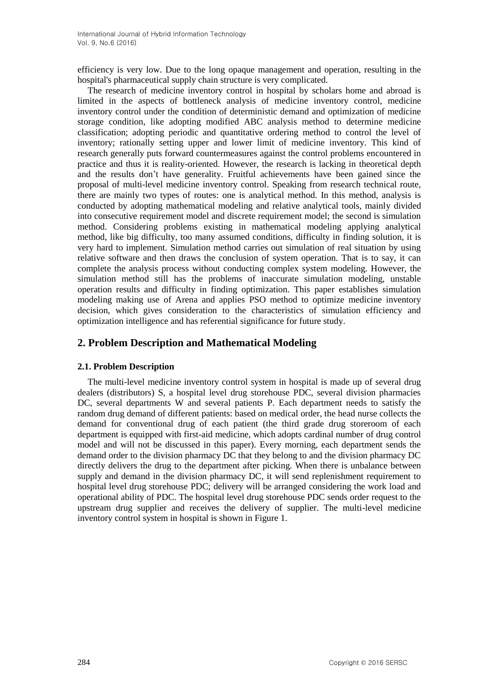efficiency is very low. Due to the long opaque management and operation, resulting in the hospital's pharmaceutical supply chain structure is very complicated.

The research of medicine inventory control in hospital by scholars home and abroad is limited in the aspects of bottleneck analysis of medicine inventory control, medicine inventory control under the condition of deterministic demand and optimization of medicine storage condition, like adopting modified ABC analysis method to determine medicine classification; adopting periodic and quantitative ordering method to control the level of inventory; rationally setting upper and lower limit of medicine inventory. This kind of research generally puts forward countermeasures against the control problems encountered in practice and thus it is reality-oriented. However, the research is lacking in theoretical depth and the results don't have generality. Fruitful achievements have been gained since the proposal of multi-level medicine inventory control. Speaking from research technical route, there are mainly two types of routes: one is analytical method. In this method, analysis is conducted by adopting mathematical modeling and relative analytical tools, mainly divided into consecutive requirement model and discrete requirement model; the second is simulation method. Considering problems existing in mathematical modeling applying analytical method, like big difficulty, too many assumed conditions, difficulty in finding solution, it is very hard to implement. Simulation method carries out simulation of real situation by using relative software and then draws the conclusion of system operation. That is to say, it can complete the analysis process without conducting complex system modeling. However, the simulation method still has the problems of inaccurate simulation modeling, unstable operation results and difficulty in finding optimization. This paper establishes simulation modeling making use of Arena and applies PSO method to optimize medicine inventory decision, which gives consideration to the characteristics of simulation efficiency and optimization intelligence and has referential significance for future study.

# **2. Problem Description and Mathematical Modeling**

## **2.1. Problem Description**

The multi-level medicine inventory control system in hospital is made up of several drug dealers (distributors) S, a hospital level drug storehouse PDC, several division pharmacies DC, several departments W and several patients P. Each department needs to satisfy the random drug demand of different patients: based on medical order, the head nurse collects the demand for conventional drug of each patient (the third grade drug storeroom of each department is equipped with first-aid medicine, which adopts cardinal number of drug control model and will not be discussed in this paper). Every morning, each department sends the demand order to the division pharmacy DC that they belong to and the division pharmacy DC directly delivers the drug to the department after picking. When there is unbalance between supply and demand in the division pharmacy DC, it will send replenishment requirement to hospital level drug storehouse PDC; delivery will be arranged considering the work load and operational ability of PDC. The hospital level drug storehouse PDC sends order request to the upstream drug supplier and receives the delivery of supplier. The multi-level medicine inventory control system in hospital is shown in Figure 1.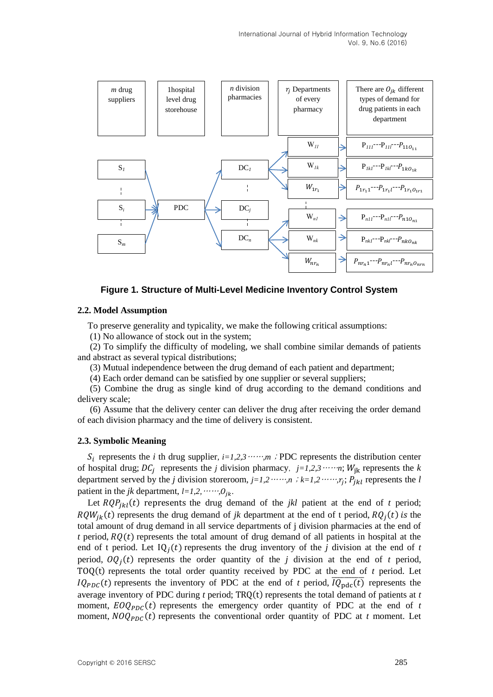

#### **Figure 1. Structure of Multi-Level Medicine Inventory Control System**

#### **2.2. Model Assumption**

To preserve generality and typicality, we make the following critical assumptions:

(1) No allowance of stock out in the system;

(2) To simplify the difficulty of modeling, we shall combine similar demands of patients and abstract as several typical distributions;

(3) Mutual independence between the drug demand of each patient and department;

(4) Each order demand can be satisfied by one supplier or several suppliers;

(5) Combine the drug as single kind of drug according to the demand conditions and delivery scale;

(6) Assume that the delivery center can deliver the drug after receiving the order demand of each division pharmacy and the time of delivery is consistent.

#### **2.3. Symbolic Meaning**

 $S_i$  represents the *i* th drug supplier,  $i=1,2,3\cdots$ *m*; PDC represents the distribution center of hospital drug;  $DC_i$  represents the *j* division pharmacy,  $j=1,2,3\cdots n$ ;  $W_{ik}$  represents the *k* department served by the *j* division storeroom,  $j=1,2,\ldots,n$  ;  $k=1,2,\ldots,n$ ;  $P_{ikl}$  represents the *l* patient in the *jk* department,  $l=1,2, \ldots, 0_{jk}$ .

Let  $RQP_{ikl}(t)$  represents the drug demand of the *jkl* patient at the end of *t* period;  $RQW_{ik}(t)$  represents the drug demand of *jk* department at the end of t period,  $RQ_i(t)$  is the total amount of drug demand in all service departments of j division pharmacies at the end of  $t$  period,  $RQ(t)$  represents the total amount of drug demand of all patients in hospital at the end of t period. Let  $IQ_i(t)$  represents the drug inventory of the *j* division at the end of *t* period,  $OQ_i(t)$  represents the order quantity of the *j* division at the end of *t* period, TOQ $(t)$  represents the total order quantity received by PDC at the end of  $t$  period. Let  $IQ_{PDC}(t)$  represents the inventory of PDC at the end of *t* period,  $\overline{IQ_{\text{ndc}}(t)}$  represents the average inventory of PDC during  $t$  period;  $TRO(t)$  represents the total demand of patients at  $t$ moment,  $EOQ_{PDC}(t)$  represents the emergency order quantity of PDC at the end of *t* moment,  $NOQ_{PDC}(t)$  represents the conventional order quantity of PDC at *t* moment. Let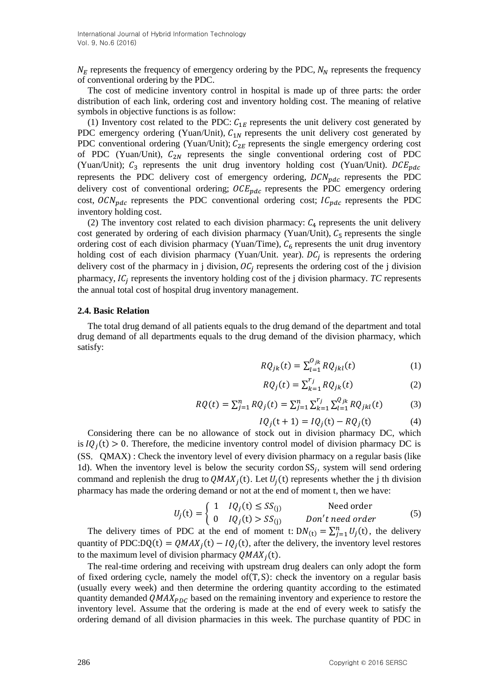$N_E$  represents the frequency of emergency ordering by the PDC,  $N_N$  represents the frequency of conventional ordering by the PDC.

The cost of medicine inventory control in hospital is made up of three parts: the order distribution of each link, ordering cost and inventory holding cost. The meaning of relative symbols in objective functions is as follow:

(1) Inventory cost related to the PDC:  $C_{1E}$  represents the unit delivery cost generated by PDC emergency ordering (Yuan/Unit),  $C_{1N}$  represents the unit delivery cost generated by PDC conventional ordering (Yuan/Unit);  $C_{2E}$  represents the single emergency ordering cost of PDC (Yuan/Unit),  $C_{2N}$  represents the single conventional ordering cost of PDC (Yuan/Unit);  $C_3$  represents the unit drug inventory holding cost (Yuan/Unit).  $DCE_{pdc}$ represents the PDC delivery cost of emergency ordering,  $DCN_{ndc}$  represents the PDC delivery cost of conventional ordering;  $OCE_{pdc}$  represents the PDC emergency ordering cost,  $OCN_{pdc}$  represents the PDC conventional ordering cost;  $IC_{pdc}$  represents the PDC inventory holding cost.

(2) The inventory cost related to each division pharmacy:  $C_4$  represents the unit delivery cost generated by ordering of each division pharmacy (Yuan/Unit),  $C_5$  represents the single ordering cost of each division pharmacy (Yuan/Time),  $C_6$  represents the unit drug inventory holding cost of each division pharmacy (Yuan/Unit. year).  $DC_i$  is represents the ordering delivery cost of the pharmacy in j division,  $OC<sub>i</sub>$  represents the ordering cost of the j division pharmacy,  $IC<sub>i</sub>$  represents the inventory holding cost of the j division pharmacy.  $TC$  represents the annual total cost of hospital drug inventory management.

#### **2.4. Basic Relation**

The total drug demand of all patients equals to the drug demand of the department and total drug demand of all departments equals to the drug demand of the division pharmacy, which satisfy:

$$
RQ_{jk}(t) = \sum_{l=1}^{O_{jk}} RQ_{jkl}(t)
$$
 (1)

$$
RQ_j(t) = \sum_{k=1}^{r_j} RQ_{jk}(t)
$$
 (2)

$$
RQ(t) = \sum_{j=1}^{n} RQ_j(t) = \sum_{j=1}^{n} \sum_{k=1}^{r_j} \sum_{l=1}^{Q_{jk}} RQ_{jkl}(t)
$$
(3)

$$
IQj(t+1) = IQj(t) - RQj(t)
$$
 (4)

Considering there can be no allowance of stock out in division pharmacy DC, which is  $IQ_i(t) > 0$ . Therefore, the medicine inventory control model of division pharmacy DC is (SS, QMAX) : Check the inventory level of every division pharmacy on a regular basis (like 1d). When the inventory level is below the security cordon  $SS_i$ , system will send ordering command and replenish the drug to  $QMAX_i(t)$ . Let  $U_i(t)$  represents whether the j th division pharmacy has made the ordering demand or not at the end of moment t, then we have:

$$
U_j(t) = \begin{cases} 1 & IQ_j(t) \le SS_{(j)} & \text{Need order} \\ 0 & IQ_j(t) > SS_{(j)} & \text{Don't need order} \end{cases}
$$
(5)

The delivery times of PDC at the end of moment t:  $DN_{(t)} = \sum_{j=1}^{n} U_j(t)$ , the delivery quantity of PDC:  $DQ(t) = QMAX_i(t) - IQ_i(t)$ , after the delivery, the inventory level restores to the maximum level of division pharmacy  $QMAX_i(t)$ .

The real-time ordering and receiving with upstream drug dealers can only adopt the form of fixed ordering cycle, namely the model of $(T, S)$ : check the inventory on a regular basis (usually every week) and then determine the ordering quantity according to the estimated quantity demanded  $QMAX_{PDC}$  based on the remaining inventory and experience to restore the inventory level. Assume that the ordering is made at the end of every week to satisfy the ordering demand of all division pharmacies in this week. The purchase quantity of PDC in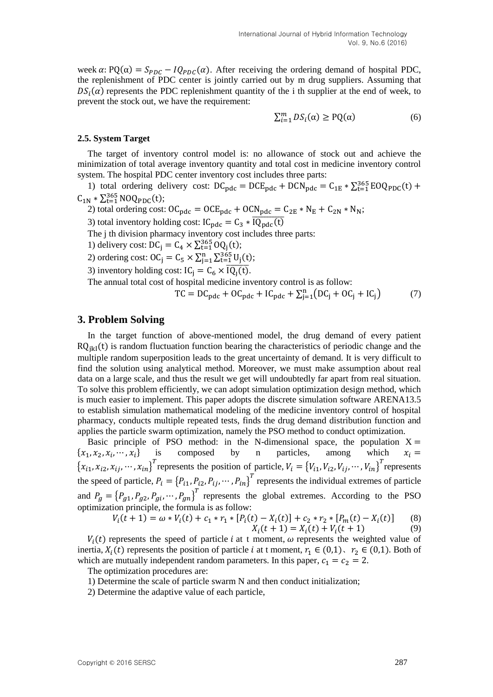week  $\alpha$ : PQ( $\alpha$ ) =  $S_{PDC} - IQ_{PDC}(\alpha)$ . After receiving the ordering demand of hospital PDC, the replenishment of PDC center is jointly carried out by m drug suppliers. Assuming that  $DS_i(\alpha)$  represents the PDC replenishment quantity of the i th supplier at the end of week, to prevent the stock out, we have the requirement:

$$
\sum_{i=1}^{m} DS_i(\alpha) \ge PQ(\alpha) \tag{6}
$$

#### **2.5. System Target**

The target of inventory control model is: no allowance of stock out and achieve the minimization of total average inventory quantity and total cost in medicine inventory control system. The hospital PDC center inventory cost includes three parts:

1) total ordering delivery cost:  $DC_{pdc} = DCE_{pdc} + DCN_{pdc} = C_{1E} * \sum_{t=1}^{365} EOQ_{PDC}(t) +$  $C_{1N} * \sum_{t=1}^{365} NOQ_{PDC}(t);$ 

2) total ordering cost:  $OC_{\text{pdc}} = OCE_{\text{pdc}} + OCN_{\text{pdc}} = C_{2E} * N_E + C_{2N} * N_N$ ;

3) total inventory holding cost:  $IC_{\text{pdc}} = C_3 * \overline{IQ_{\text{pdc}}(t)}$ 

The j th division pharmacy inventory cost includes three parts:

1) delivery cost:  $DC_j = C_4 \times \sum_{t=1}^{365} OQ_j(t)$ ;

2) ordering cost:  $OC_j = C_5 \times \sum_{j=1}^{n} \sum_{t=1}^{365} U_j(t)$ ;

3) inventory holding cost:  $IC_i = C_6 \times \overline{IQ_1(t)}$ .

The annual total cost of hospital medicine inventory control is as follow:

$$
TC = DC_{\text{pdc}} + OC_{\text{pdc}} + IC_{\text{pdc}} + \sum_{j=1}^{n} (DC_j + OC_j + IC_j)
$$
 (7)

## **3. Problem Solving**

In the target function of above-mentioned model, the drug demand of every patient  $RQ_{ik}$  (t) is random fluctuation function bearing the characteristics of periodic change and the multiple random superposition leads to the great uncertainty of demand. It is very difficult to find the solution using analytical method. Moreover, we must make assumption about real data on a large scale, and thus the result we get will undoubtedly far apart from real situation. To solve this problem efficiently, we can adopt simulation optimization design method, which is much easier to implement. This paper adopts the discrete simulation software ARENA13.5 to establish simulation mathematical modeling of the medicine inventory control of hospital pharmacy, conducts multiple repeated tests, finds the drug demand distribution function and applies the particle swarm optimization, namely the PSO method to conduct optimization.

Basic principle of PSO method: in the N-dimensional space, the population  $X =$ is composed by n particles, among which  $\{x_1, x_2, x_i,$  $x_i =$  ${x_{i1}, x_{i2}, x_{ij}, \cdots, x_{in}}^T$  represents the position of particle,  $V_i = {V_{i1}, V_{i2}, V_{ij}, \cdots, V_{in}}^T$  represents the speed of particle,  $P_i = \{P_{i1}, P_{i2}, P_{ij}, \cdots, P_{in}\}^T$  represents the individual extremes of particle and  $P_g = \{P_{g1}, P_{g2}, P_{gi}, \cdots, P_{gn}\}^T$  represents the global extremes. According to the PSO optimization principle, the formula is as follow:

$$
V_i(t+1) = \omega * V_i(t) + c_1 * r_1 * [P_i(t) - X_i(t)] + c_2 * r_2 * [P_m(t) - X_i(t)] \tag{8}
$$
  

$$
X_i(t+1) = X_i(t) + V_i(t+1) \tag{9}
$$

 $V_i(t)$  represents the speed of particle i at t moment,  $\omega$  represents the weighted value of inertia,  $X_i(t)$  represents the position of particle *i* at t moment,  $r_1 \in (0,1)$ ,  $r_2 \in (0,1)$ . Both of which are mutually independent random parameters. In this paper,  $c_1 = c_2 = 2$ .

The optimization procedures are:

1) Determine the scale of particle swarm N and then conduct initialization;

2) Determine the adaptive value of each particle,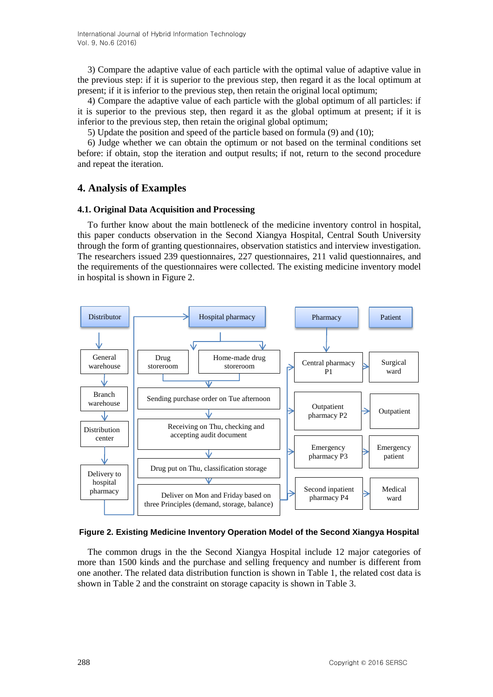3) Compare the adaptive value of each particle with the optimal value of adaptive value in the previous step: if it is superior to the previous step, then regard it as the local optimum at present; if it is inferior to the previous step, then retain the original local optimum;

4) Compare the adaptive value of each particle with the global optimum of all particles: if it is superior to the previous step, then regard it as the global optimum at present; if it is inferior to the previous step, then retain the original global optimum;

5) Update the position and speed of the particle based on formula (9) and (10);

6) Judge whether we can obtain the optimum or not based on the terminal conditions set before: if obtain, stop the iteration and output results; if not, return to the second procedure and repeat the iteration.

# **4. Analysis of Examples**

### **4.1. Original Data Acquisition and Processing**

To further know about the main bottleneck of the medicine inventory control in hospital, this paper conducts observation in the Second Xiangya Hospital, Central South University through the form of granting questionnaires, observation statistics and interview investigation. The researchers issued 239 questionnaires, 227 questionnaires, 211 valid questionnaires, and the requirements of the questionnaires were collected. The existing medicine inventory model in hospital is shown in Figure 2.



#### **Figure 2. Existing Medicine Inventory Operation Model of the Second Xiangya Hospital**

The common drugs in the the Second Xiangya Hospital include 12 major categories of more than 1500 kinds and the purchase and selling frequency and number is different from one another. The related data distribution function is shown in Table 1, the related cost data is shown in Table 2 and the constraint on storage capacity is shown in Table 3.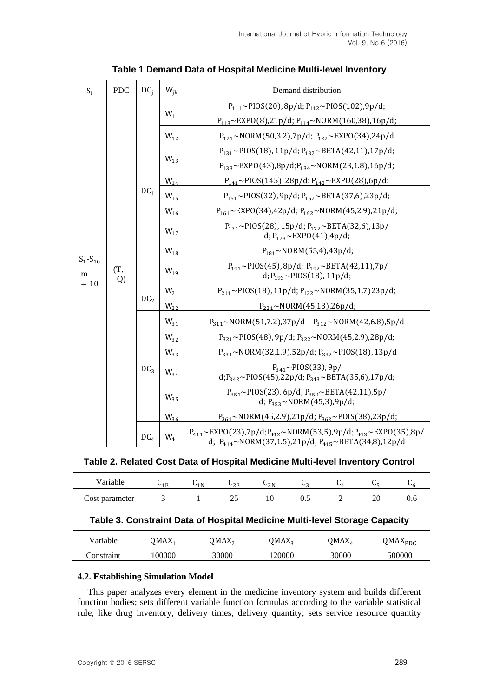| $S_i$                        | <b>PDC</b>   | $DC_i$          | $W_{ik}$ | Demand distribution                                                                                                                                                         |  |  |  |  |
|------------------------------|--------------|-----------------|----------|-----------------------------------------------------------------------------------------------------------------------------------------------------------------------------|--|--|--|--|
|                              | (T,<br>$Q$ ) | DC <sub>1</sub> |          | $P_{111} \sim$ PIOS(20), 8p/d; $P_{112} \sim$ PIOS(102), 9p/d;                                                                                                              |  |  |  |  |
|                              |              |                 | $W_{11}$ | $P_{113} \sim EXPO(8)$ ,21p/d; $P_{114} \sim NORM(160,38)$ ,16p/d;                                                                                                          |  |  |  |  |
|                              |              |                 | $W_{12}$ | $P_{121} \sim NORM(50,3.2), 7p/d; P_{122} \sim EXPO(34), 24p/d$                                                                                                             |  |  |  |  |
|                              |              |                 | $W_{13}$ | $P_{131} \sim$ PIOS(18), 11p/d; $P_{132} \sim$ BETA(42,11),17p/d;                                                                                                           |  |  |  |  |
|                              |              |                 |          | $P_{133} \sim EXPO(43),8p/d; P_{134} \sim NORM(23,1.8),16p/d;$                                                                                                              |  |  |  |  |
|                              |              |                 | $W_{14}$ | $P_{141} \sim$ PIOS(145), 28p/d; $P_{142} \sim$ EXPO(28),6p/d;                                                                                                              |  |  |  |  |
|                              |              |                 | $W_{15}$ | $P_{151} \sim$ PIOS(32), 9p/d; $P_{152} \sim$ BETA(37,6),23p/d;                                                                                                             |  |  |  |  |
|                              |              |                 | $W_{16}$ | $P_{161} \sim EXPO(34)$ ,42p/d; $P_{162} \sim NORM(45,2.9)$ ,21p/d;                                                                                                         |  |  |  |  |
| $S_1 - S_{10}$<br>m<br>$=10$ |              |                 | $W_{17}$ | $P_{171} \sim$ PIOS(28), 15p/d; $P_{172} \sim$ BETA(32,6), 13p/<br>d; $P_{173} \sim EXPO(41)$ , 4p/d;                                                                       |  |  |  |  |
|                              |              |                 | $W_{18}$ | $P_{181} \sim NORM(55,4), 43p/d;$                                                                                                                                           |  |  |  |  |
|                              |              |                 | $W_{19}$ | $P_{191} \sim$ PIOS(45), 8p/d; $P_{192} \sim$ BETA(42,11), 7p/<br>d; $P_{193} \sim$ PIOS(18), 11p/d;                                                                        |  |  |  |  |
|                              |              | DC <sub>2</sub> | $W_{21}$ | $P_{211} \sim PIOS(18), 11p/d; P_{132} \sim NORM(35, 1.7)23p/d;$                                                                                                            |  |  |  |  |
|                              |              |                 | $W_{22}$ | $P_{221} \sim NORM(45,13),26p/d;$                                                                                                                                           |  |  |  |  |
|                              |              | DC <sub>3</sub> | $W_{31}$ | $P_{311}$ ~NORM(51,7.2),37p/d; $P_{312}$ ~NORM(42,6.8),5p/d                                                                                                                 |  |  |  |  |
|                              |              |                 | $W_{32}$ | $P_{321} \sim$ PIOS(48), 9p/d; $P_{322} \sim$ NORM(45,2.9),28p/d;                                                                                                           |  |  |  |  |
|                              |              |                 | $W_{33}$ | P <sub>331</sub> ~NORM(32,1.9),52p/d; P <sub>332</sub> ~PIOS(18), 13p/d                                                                                                     |  |  |  |  |
|                              |              |                 | $W_{34}$ | $P_{341} \sim$ PIOS(33), 9p/<br>d;P <sub>342</sub> ~PIOS(45),22p/d; P <sub>343</sub> ~BETA(35,6),17p/d;                                                                     |  |  |  |  |
|                              |              |                 | $W_{35}$ | $P_{351} \sim$ PIOS(23), 6p/d; $P_{352} \sim$ BETA(42,11), 5p/<br>d; $P_{353} \sim NORM(45,3),9p/d;$                                                                        |  |  |  |  |
|                              |              |                 | $W_{36}$ | $P_{361} \sim NORM(45,2.9), 21p/d; P_{362} \sim POIS(38), 23p/d;$                                                                                                           |  |  |  |  |
|                              |              | DC <sub>4</sub> | $W_{41}$ | $P_{411} \sim EXPO(23)$ ,7p/d; $P_{412} \sim NORM(53,5)$ ,9p/d; $P_{413} \sim EXPO(35)$ ,8p/<br>d; P <sub>414</sub> ~NORM(37,1.5),21p/d; P <sub>415</sub> ~BETA(34,8),12p/d |  |  |  |  |

## **Table 1 Demand Data of Hospital Medicine Multi-level Inventory**

#### **Table 2. Related Cost Data of Hospital Medicine Multi-level Inventory Control**

| 0.450          | $\mathbf{u}$<br>ΊE | U1 N | $\mathbf{v}_{2\mathrm{E}}$ | $\mathsf{u}_{2\text{N}}$ | ູ   | ◡◢     |    | ີ |
|----------------|--------------------|------|----------------------------|--------------------------|-----|--------|----|---|
| Cost parameter |                    |      | --                         |                          | ◡.◡ | -<br>— | ∠∪ |   |

## **Table 3. Constraint Data of Hospital Medicine Multi-level Storage Capacity**

| <sup>7</sup> ariable | <b>DMAX</b> | <b>OMAX</b> | )MAX。 | OMAX. | <u> QMAX<sub>PDC</sub></u> |
|----------------------|-------------|-------------|-------|-------|----------------------------|
| Constraint           | 00000       | 30000       | 20000 | 30000 | 500000                     |

## **4.2. Establishing Simulation Model**

This paper analyzes every element in the medicine inventory system and builds different function bodies; sets different variable function formulas according to the variable statistical rule, like drug inventory, delivery times, delivery quantity; sets service resource quantity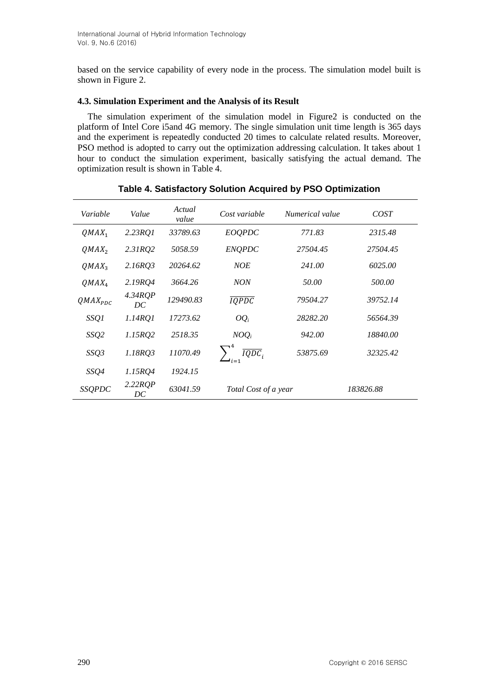based on the service capability of every node in the process. The simulation model built is shown in Figure 2.

#### **4.3. Simulation Experiment and the Analysis of its Result**

The simulation experiment of the simulation model in Figure2 is conducted on the platform of Intel Core i5and 4G memory. The single simulation unit time length is 365 days and the experiment is repeatedly conducted 20 times to calculate related results. Moreover, PSO method is adopted to carry out the optimization addressing calculation. It takes about 1 hour to conduct the simulation experiment, basically satisfying the actual demand. The optimization result is shown in Table 4.

| Variable      | Value         | Actual<br>value | Cost variable        | Numerical value | COST      |
|---------------|---------------|-----------------|----------------------|-----------------|-----------|
| $QMAX_1$      | $2.23$ RQ1    | 33789.63        | EOQPDC               | 771.83          | 2315.48   |
| $QMAX_2$      | 2.31RQ2       | 5058.59         | <b>ENQPDC</b>        | 27504.45        | 27504.45  |
| $QMAX_3$      | 2.16RQ3       | 20264.62        | <b>NOE</b>           | 241.00          | 6025.00   |
| $QMAX_4$      | 2.19RQ4       | 3664.26         | <b>NON</b>           | 50.00           | 500.00    |
| $QMAX_{PDC}$  | 4.34RQP<br>DC | 129490.83       | <b>IQPDC</b>         | 79504.27        | 39752.14  |
| SSQ1          | 1.14RQ1       | 17273.62        | $OQ_i$               | 28282.20        | 56564.39  |
| SSQ2          | 1.15RQ2       | 2518.35         | $NOQ_i$              | 942.00          | 18840.00  |
| SSQ3          | 1.18RO3       | 11070.49        | $\overline{IQDC}$    | 53875.69        | 32325.42  |
| SSQ4          | 1.15RQ4       | 1924.15         |                      |                 |           |
| <b>SSQPDC</b> | 2.22RQP<br>DC | 63041.59        | Total Cost of a year |                 | 183826.88 |

### **Table 4. Satisfactory Solution Acquired by PSO Optimization**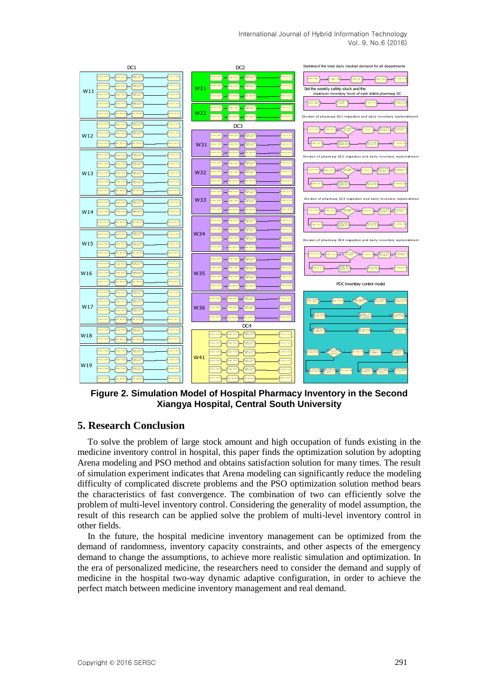

**Figure 2. Simulation Model of Hospital Pharmacy Inventory in the Second Xiangya Hospital, Central South University**

## **5. Research Conclusion**

To solve the problem of large stock amount and high occupation of funds existing in the medicine inventory control in hospital, this paper finds the optimization solution by adopting Arena modeling and PSO method and obtains satisfaction solution for many times. The result of simulation experiment indicates that Arena modeling can significantly reduce the modeling difficulty of complicated discrete problems and the PSO optimization solution method bears the characteristics of fast convergence. The combination of two can efficiently solve the problem of multi-level inventory control. Considering the generality of model assumption, the result of this research can be applied solve the problem of multi-level inventory control in other fields.

In the future, the hospital medicine inventory management can be optimized from the demand of randomness, inventory capacity constraints, and other aspects of the emergency demand to change the assumptions, to achieve more realistic simulation and optimization. In the era of personalized medicine, the researchers need to consider the demand and supply of medicine in the hospital two-way dynamic adaptive configuration, in order to achieve the perfect match between medicine inventory management and real demand.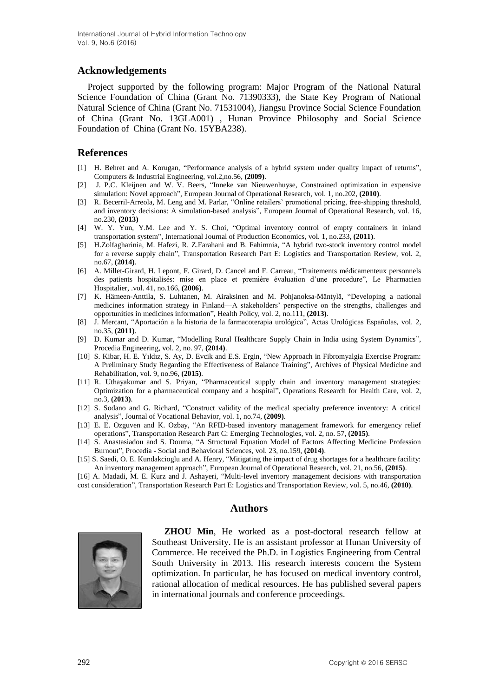## **Acknowledgements**

Project supported by the following program: Major Program of the National Natural Science Foundation of China (Grant No. 71390333), the State Key Program of National Natural Science of China (Grant No. 71531004), Jiangsu Province Social Science Foundation of China (Grant No. 13GLA001) , Hunan Province Philosophy and Social Science Foundation of China (Grant No. 15YBA238).

## **References**

- [1] H. Behret and A. Korugan, "Performance analysis of a hybrid system under quality impact of returns", Computers & Industrial Engineering, vol.2,no.56, **(2009)**.
- [2] J. P.C. Kleijnen and W. V. Beers, "Inneke van Nieuwenhuyse, Constrained optimization in expensive simulation: Novel approach", European Journal of Operational Research, vol. 1, no.202, **(2010)**.
- [3] R. Becerril-Arreola, M. Leng and M. Parlar, "Online retailers' promotional pricing, free-shipping threshold, and inventory decisions: A simulation-based analysis", European Journal of Operational Research, vol. 16, no.230, **(2013)**
- [4] W. Y. Yun, Y.M. Lee and Y. S. Choi, "Optimal inventory control of empty containers in inland transportation system", International Journal of Production Economics, vol. 1, no.233, **(2011)**.
- [5] H.Zolfagharinia, M. Hafezi, R. Z.Farahani and B. Fahimnia, "A hybrid two-stock inventory control model for a reverse supply chain", Transportation Research Part E: Logistics and Transportation Review, vol. 2, no.67, **(2014)**.
- [6] A. Millet-Girard, H. Lepont, F. Girard, D. Cancel and F. Carreau, "Traitements médicamenteux personnels des patients hospitalisés: mise en place et première évaluation d'une procedure", Le Pharmacien Hospitalier, .vol. 41, no.166, **(2006)**.
- [7] K. Hämeen-Anttila, S. Luhtanen, M. Airaksinen and M. Pohjanoksa-Mäntylä, "Developing a national medicines information strategy in Finland—A stakeholders' perspective on the strengths, challenges and opportunities in medicines information", Health Policy, vol. 2, no.111, **(2013)**.
- [8] J. Mercant, "Aportación a la historia de la farmacoterapia urológica", Actas Urológicas Españolas, vol. 2, no.35, **(2011)**.
- [9] D. Kumar and D. Kumar, "Modelling Rural Healthcare Supply Chain in India using System Dynamics", Procedia Engineering, vol. 2, no. 97, **(2014)**.
- [10] S. Kibar, H. E. Yıldız, S. Ay, D. Evcik and E.S. Ergin, "New Approach in Fibromyalgia Exercise Program: A Preliminary Study Regarding the Effectiveness of Balance Training", Archives of Physical Medicine and Rehabilitation, vol. 9, no.96, **(2015)**.
- [11] R. Uthayakumar and S. Priyan, "Pharmaceutical supply chain and inventory management strategies: Optimization for a pharmaceutical company and a hospital", Operations Research for Health Care, vol. 2, no.3, **(2013)**.
- [12] S. Sodano and G. Richard, "Construct validity of the medical specialty preference inventory: A critical analysis", Journal of Vocational Behavior, vol. 1, no.74, **(2009)**.
- [13] E. E. Ozguven and K. Ozbay, "An RFID-based inventory management framework for emergency relief operations", Transportation Research Part C: Emerging Technologies, vol. 2, no. 57, **(2015)**.
- [14] S. Anastasiadou and S. Douma, "A Structural Equation Model of Factors Affecting Medicine Profession Burnout", Procedia - Social and Behavioral Sciences, vol. 23, no.159, **(2014)**.
- [15] S. Saedi, O. E. Kundakcioglu and A. Henry, "Mitigating the impact of drug shortages for a healthcare facility: An inventory management approach", European Journal of Operational Research, vol. 21, no.56, **(2015)**.
- [16] A. Madadi, M. E. Kurz and J. Ashayeri, "Multi-level inventory management decisions with transportation cost consideration", Transportation Research Part E: Logistics and Transportation Review, vol. 5, no.46, **(2010)**.

## **Authors**



**ZHOU Min**, He worked as a post-doctoral research fellow at Southeast University. He is an assistant professor at Hunan University of Commerce. He received the Ph.D. in Logistics Engineering from Central South University in 2013. His research interests concern the System optimization. In particular, he has focused on medical inventory control, rational allocation of medical resources. He has published several papers in international journals and conference proceedings.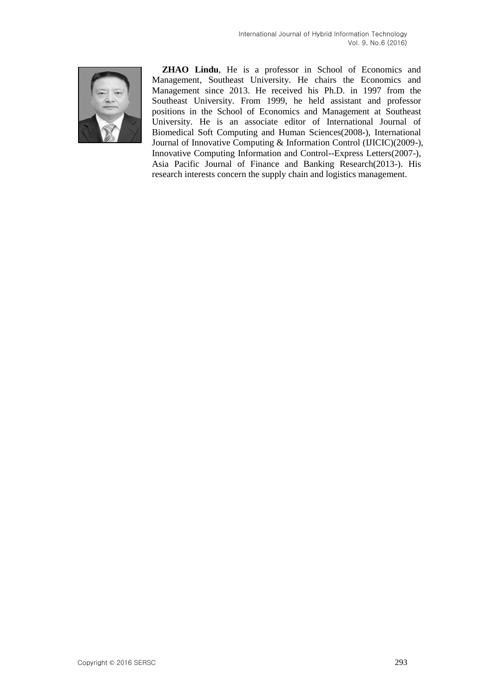

**ZHAO Lindu**, He is a professor in School of Economics and Management, Southeast University. He chairs the Economics and Management since 2013. He received his Ph.D. in 1997 from the Southeast University. From 1999, he held assistant and professor positions in the School of Economics and Management at Southeast University. He is an associate editor of International Journal of Biomedical Soft Computing and Human Sciences(2008-), International Journal of Innovative Computing & Information Control (IJICIC)(2009-), Innovative Computing Information and Control--Express Letters(2007-), Asia Pacific Journal of Finance and Banking Research(2013-). His research interests concern the supply chain and logistics management.